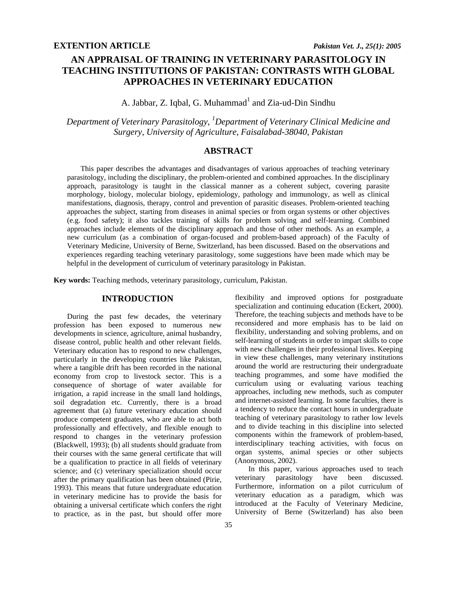# **AN APPRAISAL OF TRAINING IN VETERINARY PARASITOLOGY IN TEACHING INSTITUTIONS OF PAKISTAN: CONTRASTS WITH GLOBAL APPROACHES IN VETERINARY EDUCATION**

A. Jabbar, Z. Iqbal, G. Muhammad<sup>1</sup> and Zia-ud-Din Sindhu

*Department of Veterinary Parasitology, 1 Department of Veterinary Clinical Medicine and Surgery, University of Agriculture, Faisalabad-38040, Pakistan* 

# **ABSTRACT**

This paper describes the advantages and disadvantages of various approaches of teaching veterinary parasitology, including the disciplinary, the problem-oriented and combined approaches. In the disciplinary approach, parasitology is taught in the classical manner as a coherent subject, covering parasite morphology, biology, molecular biology, epidemiology, pathology and immunology, as well as clinical manifestations, diagnosis, therapy, control and prevention of parasitic diseases. Problem-oriented teaching approaches the subject, starting from diseases in animal species or from organ systems or other objectives (e.g. food safety); it also tackles training of skills for problem solving and self-learning. Combined approaches include elements of the disciplinary approach and those of other methods. As an example, a new curriculum (as a combination of organ-focused and problem-based approach) of the Faculty of Veterinary Medicine, University of Berne, Switzerland, has been discussed. Based on the observations and experiences regarding teaching veterinary parasitology, some suggestions have been made which may be helpful in the development of curriculum of veterinary parasitology in Pakistan.

**Key words:** Teaching methods, veterinary parasitology, curriculum, Pakistan.

# **INTRODUCTION**

During the past few decades, the veterinary profession has been exposed to numerous new developments in science, agriculture, animal husbandry, disease control, public health and other relevant fields. Veterinary education has to respond to new challenges, particularly in the developing countries like Pakistan, where a tangible drift has been recorded in the national economy from crop to livestock sector. This is a consequence of shortage of water available for irrigation, a rapid increase in the small land holdings, soil degradation etc. Currently, there is a broad agreement that (a) future veterinary education should produce competent graduates, who are able to act both professionally and effectively, and flexible enough to respond to changes in the veterinary profession (Blackwell, 1993); (b) all students should graduate from their courses with the same general certificate that will be a qualification to practice in all fields of veterinary science; and (c) veterinary specialization should occur after the primary qualification has been obtained (Pirie, 1993). This means that future undergraduate education in veterinary medicine has to provide the basis for obtaining a universal certificate which confers the right to practice, as in the past, but should offer more

self-learning of students in order to impart skills to cope with new challenges in their professional lives. Keeping in view these challenges, many veterinary institutions around the world are restructuring their undergraduate teaching programmes, and some have modified the curriculum using or evaluating various teaching approaches, including new methods, such as computer and internet-assisted learning. In some faculties, there is a tendency to reduce the contact hours in undergraduate teaching of veterinary parasitology to rather low levels and to divide teaching in this discipline into selected components within the framework of problem-based, interdisciplinary teaching activities, with focus on organ systems, animal species or other subjects (Anonymous, 2002). In this paper, various approaches used to teach veterinary parasitology have been discussed. Furthermore, information on a pilot curriculum of veterinary education as a paradigm, which was

introduced at the Faculty of Veterinary Medicine, University of Berne (Switzerland) has also been

flexibility and improved options for postgraduate specialization and continuing education (Eckert, 2000). Therefore, the teaching subjects and methods have to be reconsidered and more emphasis has to be laid on flexibility, understanding and solving problems, and on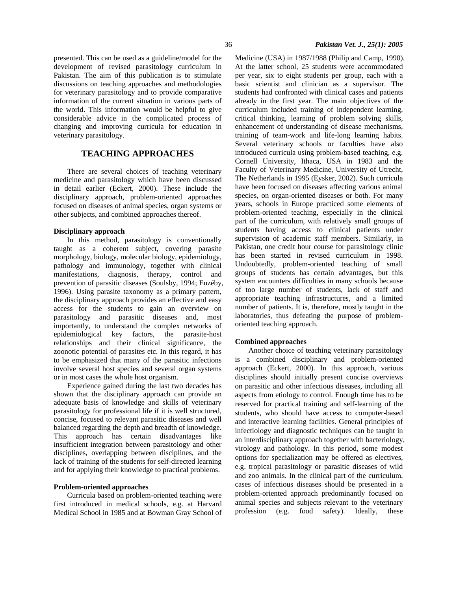presented. This can be used as a guideline/model for the development of revised parasitology curriculum in Pakistan. The aim of this publication is to stimulate discussions on teaching approaches and methodologies for veterinary parasitology and to provide comparative information of the current situation in various parts of the world. This information would be helpful to give considerable advice in the complicated process of changing and improving curricula for education in veterinary parasitology.

# **TEACHING APPROACHES**

 There are several choices of teaching veterinary medicine and parasitology which have been discussed in detail earlier (Eckert, 2000). These include the disciplinary approach, problem-oriented approaches focused on diseases of animal species, organ systems or other subjects, and combined approaches thereof.

## **Disciplinary approach**

 In this method, parasitology is conventionally taught as a coherent subject, covering parasite morphology, biology, molecular biology, epidemiology, pathology and immunology, together with clinical manifestations, diagnosis, therapy, control and prevention of parasitic diseases (Soulsby, 1994; Euzéby, 1996). Using parasite taxonomy as a primary pattern, the disciplinary approach provides an effective and easy access for the students to gain an overview on parasitology and parasitic diseases and, most importantly, to understand the complex networks of epidemiological key factors, the parasite-host relationships and their clinical significance, the zoonotic potential of parasites etc. In this regard, it has to be emphasized that many of the parasitic infections involve several host species and several organ systems or in most cases the whole host organism.

 Experience gained during the last two decades has shown that the disciplinary approach can provide an adequate basis of knowledge and skills of veterinary parasitology for professional life if it is well structured, concise, focused to relevant parasitic diseases and well balanced regarding the depth and breadth of knowledge. This approach has certain disadvantages like insufficient integration between parasitology and other disciplines, overlapping between disciplines, and the lack of training of the students for self-directed learning and for applying their knowledge to practical problems.

#### **Problem-oriented approaches**

 Curricula based on problem-oriented teaching were first introduced in medical schools, e.g. at Harvard Medical School in 1985 and at Bowman Gray School of Medicine (USA) in 1987/1988 (Philip and Camp, 1990). At the latter school, 25 students were accommodated per year, six to eight students per group, each with a basic scientist and clinician as a supervisor. The students had confronted with clinical cases and patients already in the first year. The main objectives of the curriculum included training of independent learning, critical thinking, learning of problem solving skills, enhancement of understanding of disease mechanisms, training of team-work and life-long learning habits. Several veterinary schools or faculties have also introduced curricula using problem-based teaching, e.g. Cornell University, Ithaca, USA in 1983 and the Faculty of Veterinary Medicine, University of Utrecht, The Netherlands in 1995 (Eysker, 2002). Such curricula have been focused on diseases affecting various animal species, on organ-oriented diseases or both. For many years, schools in Europe practiced some elements of problem-oriented teaching, especially in the clinical part of the curriculum, with relatively small groups of students having access to clinical patients under supervision of academic staff members. Similarly, in Pakistan, one credit hour course for parasitology clinic has been started in revised curriculum in 1998. Undoubtedly, problem-oriented teaching of small groups of students has certain advantages, but this system encounters difficulties in many schools because of too large number of students, lack of staff and appropriate teaching infrastructures, and a limited number of patients. It is, therefore, mostly taught in the laboratories, thus defeating the purpose of problemoriented teaching approach.

### **Combined approaches**

 Another choice of teaching veterinary parasitology is a combined disciplinary and problem-oriented approach (Eckert, 2000). In this approach, various disciplines should initially present concise overviews on parasitic and other infectious diseases, including all aspects from etiology to control. Enough time has to be reserved for practical training and self-learning of the students, who should have access to computer-based and interactive learning facilities. General principles of infectiology and diagnostic techniques can be taught in an interdisciplinary approach together with bacteriology, virology and pathology. In this period, some modest options for specialization may be offered as electives, e.g. tropical parasitology or parasitic diseases of wild and zoo animals. In the clinical part of the curriculum, cases of infectious diseases should be presented in a problem-oriented approach predominantly focused on animal species and subjects relevant to the veterinary profession (e.g. food safety). Ideally, these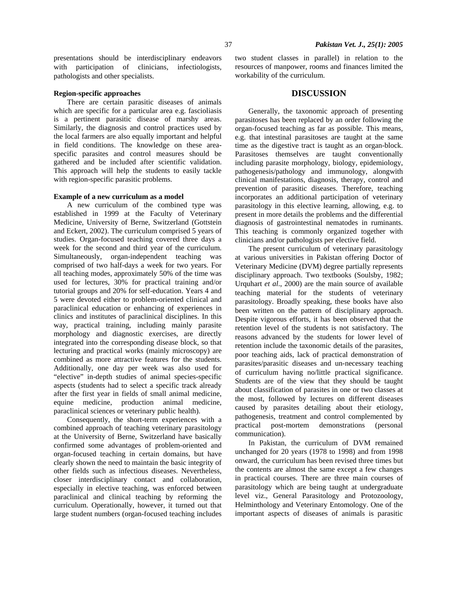presentations should be interdisciplinary endeavors with participation of clinicians, infectiologists, pathologists and other specialists.

### **Region-specific approaches**

 There are certain parasitic diseases of animals which are specific for a particular area e.g. fascioliasis is a pertinent parasitic disease of marshy areas. Similarly, the diagnosis and control practices used by the local farmers are also equally important and helpful in field conditions. The knowledge on these areaspecific parasites and control measures should be gathered and be included after scientific validation. This approach will help the students to easily tackle with region-specific parasitic problems.

#### **Example of a new curriculum as a model**

 A new curriculum of the combined type was established in 1999 at the Faculty of Veterinary Medicine, University of Berne, Switzerland (Gottstein and Eckert, 2002). The curriculum comprised 5 years of studies. Organ-focused teaching covered three days a week for the second and third year of the curriculum. Simultaneously, organ-independent teaching was comprised of two half-days a week for two years. For all teaching modes, approximately 50% of the time was used for lectures, 30% for practical training and/or tutorial groups and 20% for self-education. Years 4 and 5 were devoted either to problem-oriented clinical and paraclinical education or enhancing of experiences in clinics and institutes of paraclinical disciplines. In this way, practical training, including mainly parasite morphology and diagnostic exercises, are directly integrated into the corresponding disease block, so that lecturing and practical works (mainly microscopy) are combined as more attractive features for the students. Additionally, one day per week was also used for "elective" in-depth studies of animal species-specific aspects (students had to select a specific track already after the first year in fields of small animal medicine, equine medicine, production animal medicine, paraclinical sciences or veterinary public health).

 Consequently, the short-term experiences with a combined approach of teaching veterinary parasitology at the University of Berne, Switzerland have basically confirmed some advantages of problem-oriented and organ-focused teaching in certain domains, but have clearly shown the need to maintain the basic integrity of other fields such as infectious diseases. Nevertheless, closer interdisciplinary contact and collaboration, especially in elective teaching, was enforced between paraclinical and clinical teaching by reforming the curriculum. Operationally, however, it turned out that large student numbers (organ-focused teaching includes

two student classes in parallel) in relation to the resources of manpower, rooms and finances limited the workability of the curriculum.

#### **DISCUSSION**

 Generally, the taxonomic approach of presenting parasitoses has been replaced by an order following the organ-focused teaching as far as possible. This means, e.g. that intestinal parasitoses are taught at the same time as the digestive tract is taught as an organ-block. Parasitoses themselves are taught conventionally including parasite morphology, biology, epidemiology, pathogenesis/pathology and immunology, alongwith clinical manifestations, diagnosis, therapy, control and prevention of parasitic diseases. Therefore, teaching incorporates an additional participation of veterinary parasitology in this elective learning, allowing, e.g. to present in more details the problems and the differential diagnosis of gastrointestinal nematodes in ruminants. This teaching is commonly organized together with clinicians and/or pathologists per elective field.

 The present curriculum of veterinary parasitology at various universities in Pakistan offering Doctor of Veterinary Medicine (DVM) degree partially represents disciplinary approach. Two textbooks (Soulsby, 1982; Urquhart *et al*., 2000) are the main source of available teaching material for the students of veterinary parasitology. Broadly speaking, these books have also been written on the pattern of disciplinary approach. Despite vigorous efforts, it has been observed that the retention level of the students is not satisfactory. The reasons advanced by the students for lower level of retention include the taxonomic details of the parasites, poor teaching aids, lack of practical demonstration of parasites/parasitic diseases and un-necessary teaching of curriculum having no/little practical significance. Students are of the view that they should be taught about classification of parasites in one or two classes at the most, followed by lectures on different diseases caused by parasites detailing about their etiology, pathogenesis, treatment and control complemented by practical post-mortem demonstrations (personal communication).

 In Pakistan, the curriculum of DVM remained unchanged for 20 years (1978 to 1998) and from 1998 onward, the curriculum has been revised three times but the contents are almost the same except a few changes in practical courses. There are three main courses of parasitology which are being taught at undergraduate level viz., General Parasitology and Protozoology, Helminthology and Veterinary Entomology. One of the important aspects of diseases of animals is parasitic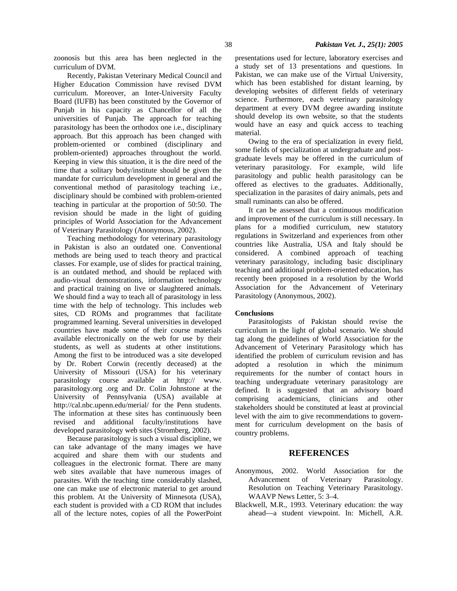zoonosis but this area has been neglected in the curriculum of DVM.

 Recently, Pakistan Veterinary Medical Council and Higher Education Commission have revised DVM curriculum. Moreover, an Inter-University Faculty Board (IUFB) has been constituted by the Governor of Punjab in his capacity as Chancellor of all the universities of Punjab. The approach for teaching parasitology has been the orthodox one i.e., disciplinary approach. But this approach has been changed with problem-oriented or combined (disciplinary and problem-oriented) approaches throughout the world. Keeping in view this situation, it is the dire need of the time that a solitary body/institute should be given the mandate for curriculum development in general and the conventional method of parasitology teaching i.e., disciplinary should be combined with problem-oriented teaching in particular at the proportion of 50:50. The revision should be made in the light of guiding principles of World Association for the Advancement of Veterinary Parasitology (Anonymous, 2002).

 Teaching methodology for veterinary parasitology in Pakistan is also an outdated one. Conventional methods are being used to teach theory and practical classes. For example, use of slides for practical training, is an outdated method, and should be replaced with audio-visual demonstrations, information technology and practical training on live or slaughtered animals. We should find a way to teach all of parasitology in less time with the help of technology. This includes web sites, CD ROMs and programmes that facilitate programmed learning. Several universities in developed countries have made some of their course materials available electronically on the web for use by their students, as well as students at other institutions. Among the first to be introduced was a site developed by Dr. Robert Corwin (recently deceased) at the University of Missouri (USA) for his veterinary parasitology course available at http:// www. parasitology.org .org and Dr. Colin Johnstone at the University of Pennsylvania (USA) available at http://cal.nbc.upenn.edu/merial/ for the Penn students. The information at these sites has continuously been revised and additional faculty/institutions have developed parasitology web sites (Stromberg, 2002).

 Because parasitology is such a visual discipline, we can take advantage of the many images we have acquired and share them with our students and colleagues in the electronic format. There are many web sites available that have numerous images of parasites. With the teaching time considerably slashed, one can make use of electronic material to get around this problem. At the University of Minnesota (USA), each student is provided with a CD ROM that includes all of the lecture notes, copies of all the PowerPoint

presentations used for lecture, laboratory exercises and a study set of 13 presentations and questions. In Pakistan, we can make use of the Virtual University, which has been established for distant learning, by developing websites of different fields of veterinary science. Furthermore, each veterinary parasitology department at every DVM degree awarding institute should develop its own website, so that the students would have an easy and quick access to teaching material.

 Owing to the era of specialization in every field, some fields of specialization at undergraduate and postgraduate levels may be offered in the curriculum of veterinary parasitology. For example, wild life parasitology and public health parasitology can be offered as electives to the graduates. Additionally, specialization in the parasites of dairy animals, pets and small ruminants can also be offered.

 It can be assessed that a continuous modification and improvement of the curriculum is still necessary. In plans for a modified curriculum, new statutory regulations in Switzerland and experiences from other countries like Australia, USA and Italy should be considered. A combined approach of teaching veterinary parasitology, including basic disciplinary teaching and additional problem-oriented education, has recently been proposed in a resolution by the World Association for the Advancement of Veterinary Parasitology (Anonymous, 2002).

#### **Conclusions**

 Parasitologists of Pakistan should revise the curriculum in the light of global scenario. We should tag along the guidelines of World Association for the Advancement of Veterinary Parasitology which has identified the problem of curriculum revision and has adopted a resolution in which the minimum requirements for the number of contact hours in teaching undergraduate veterinary parasitology are defined. It is suggested that an advisory board comprising academicians, clinicians and other stakeholders should be constituted at least at provincial level with the aim to give recommendations to government for curriculum development on the basis of country problems.

## **REFERENCES**

- Anonymous, 2002. World Association for the Advancement of Veterinary Parasitology. Resolution on Teaching Veterinary Parasitology. WAAVP News Letter, 5: 3–4.
- Blackwell, M.R., 1993. Veterinary education: the way ahead—a student viewpoint. In: Michell, A.R.